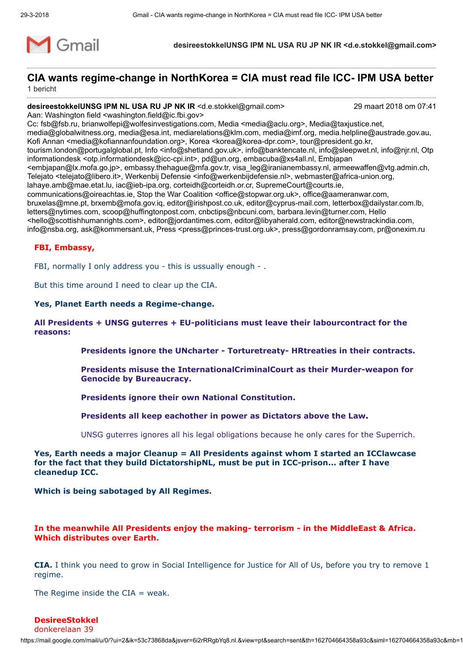

# CIA wants regime-change in NorthKorea = CIA must read file ICC- IPM USA better

1 bericht

desireestokkelUNSG IPM NL USA RU JP NK IR <d.e.stokkel@gmail.com> 29 maart 2018 om 07:41

Aan: Washington field <washington.field@ic.fbi.gov>

Cc: fsb@fsb.ru, brianwolfepi@wolfesinvestigations.com, Media <media@aclu.org>, Media@taxjustice.net, media@globalwitness.org, media@esa.int, mediarelations@klm.com, media@imf.org, media.helpline@austrade.gov.au, Kofi Annan <media@kofiannanfoundation.org>, Korea <korea@korea-dpr.com>, tour@president.go.kr, tourism.london@portugalglobal.pt, Info <info@shetland.gov.uk>, info@banktencate.nl, info@sleepwet.nl, info@njr.nl, Otp informationdesk <otp.informationdesk@icc-cpi.int>, pd@un.org, embacuba@xs4all.nl, Embjapan <embjapan@lx.mofa.go.jp>, embassy.thehague@mfa.gov.tr, visa\_leg@iranianembassy.nl, armeewaffen@vtg.admin.ch, Telejato <telejato@libero.it>, Werkenbij Defensie <info@werkenbijdefensie.nl>, webmaster@africa-union.org, lahaye.amb@mae.etat.lu, iac@ieb-ipa.org, corteidh@corteidh.or.cr, SupremeCourt@courts.ie, communications@oireachtas.ie, Stop the War Coalition <office@stopwar.org.uk>, office@aameranwar.com, bruxelas@mne.pt, brxemb@mofa.gov.iq, editor@irishpost.co.uk, editor@cyprus-mail.com, letterbox@dailystar.com.lb, letters@nytimes.com, scoop@huffingtonpost.com, cnbctips@nbcuni.com, barbara.levin@turner.com, Hello <hello@scottishhumanrights.com>, editor@jordantimes.com, editor@libyaherald.com, editor@newstrackindia.com, info@nsba.org, ask@kommersant.uk, Press <press@princes-trust.org.uk>, press@gordonramsay.com, pr@onexim.ru

# FBI, Embassy,

FBI, normally I only address you - this is ussually enough - .

But this time around I need to clear up the CIA.

#### Yes, Planet Earth needs a Regime-change.

# All Presidents + UNSG guterres + EU-politicians must leave their labourcontract for the reasons:

Presidents ignore the UNcharter - Torturetreaty- HRtreaties in their contracts.

- Presidents misuse the InternationalCriminalCourt as their Murder-weapon for Genocide by Bureaucracy.
- Presidents ignore their own National Constitution.
- Presidents all keep eachother in power as Dictators above the Law.

UNSG guterres ignores all his legal obligations because he only cares for the Superrich.

#### Yes, Earth needs a major Cleanup = All Presidents against whom I started an ICClawcase for the fact that they build DictatorshipNL, must be put in ICC-prison... after I have cleanedup ICC.

Which is being sabotaged by All Regimes.

# In the meanwhile All Presidents enjoy the making- terrorism - in the MiddleEast & Africa. Which distributes over Earth.

CIA. I think you need to grow in Social Intelligence for Justice for All of Us, before you try to remove 1 regime.

The Regime inside the  $CIA = weak$ .

# DesireeStokkel

donkerelaan 39